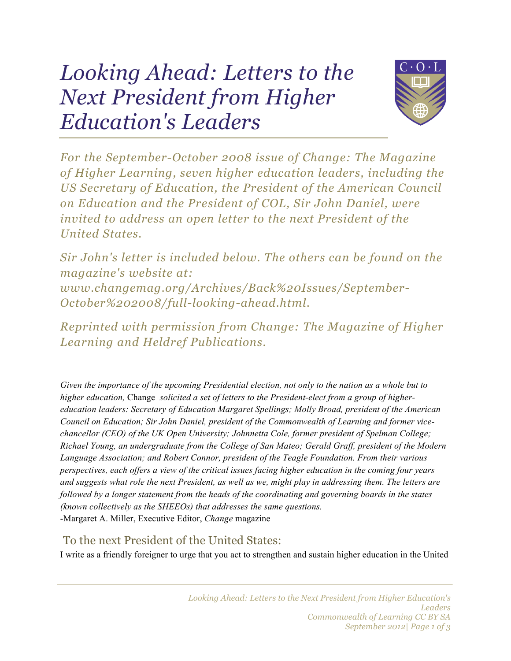## *Looking Ahead: Letters to the Next President from Higher Education's Leaders*



*For the September-October 2008 issue of Change: The Magazine of Higher Learning, seven higher education leaders, including the US Secretary of Education, the President of the American Council on Education and the President of COL, Sir John Daniel, were invited to address an open letter to the next President of the United States.*

*Sir John's letter is included below. The others can be found on the magazine's website at: www.changemag.org/Archives/Back%20Issues/September-October%202008/full-looking-ahead.html.*

*Reprinted with permission from Change: The Magazine of Higher Learning and Heldref Publications.*

*Given the importance of the upcoming Presidential election, not only to the nation as a whole but to higher education,* Change *solicited a set of letters to the President-elect from a group of highereducation leaders: Secretary of Education Margaret Spellings; Molly Broad, president of the American Council on Education; Sir John Daniel, president of the Commonwealth of Learning and former vicechancellor (CEO) of the UK Open University; Johnnetta Cole, former president of Spelman College; Richael Young, an undergraduate from the College of San Mateo; Gerald Graff, president of the Modern Language Association; and Robert Connor, president of the Teagle Foundation. From their various perspectives, each offers a view of the critical issues facing higher education in the coming four years and suggests what role the next President, as well as we, might play in addressing them. The letters are followed by a longer statement from the heads of the coordinating and governing boards in the states (known collectively as the SHEEOs) that addresses the same questions.* -Margaret A. Miller, Executive Editor, *Change* magazine

## To the next President of the United States:

I write as a friendly foreigner to urge that you act to strengthen and sustain higher education in the United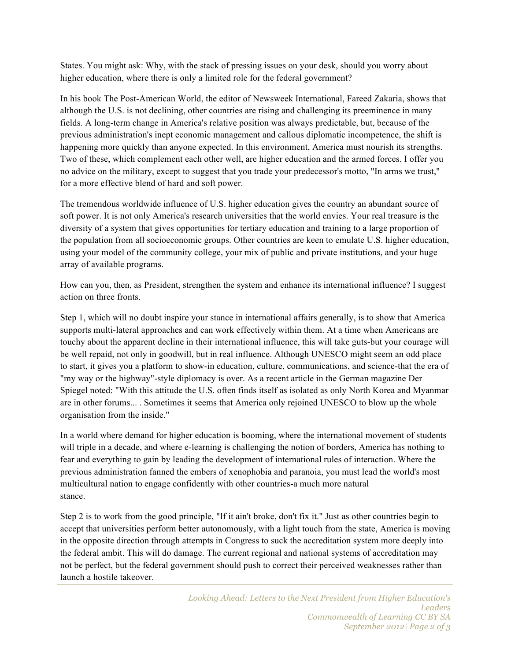States. You might ask: Why, with the stack of pressing issues on your desk, should you worry about higher education, where there is only a limited role for the federal government?

In his book The Post-American World, the editor of Newsweek International, Fareed Zakaria, shows that although the U.S. is not declining, other countries are rising and challenging its preeminence in many fields. A long-term change in America's relative position was always predictable, but, because of the previous administration's inept economic management and callous diplomatic incompetence, the shift is happening more quickly than anyone expected. In this environment, America must nourish its strengths. Two of these, which complement each other well, are higher education and the armed forces. I offer you no advice on the military, except to suggest that you trade your predecessor's motto, "In arms we trust," for a more effective blend of hard and soft power.

The tremendous worldwide influence of U.S. higher education gives the country an abundant source of soft power. It is not only America's research universities that the world envies. Your real treasure is the diversity of a system that gives opportunities for tertiary education and training to a large proportion of the population from all socioeconomic groups. Other countries are keen to emulate U.S. higher education, using your model of the community college, your mix of public and private institutions, and your huge array of available programs.

How can you, then, as President, strengthen the system and enhance its international influence? I suggest action on three fronts.

Step 1, which will no doubt inspire your stance in international affairs generally, is to show that America supports multi-lateral approaches and can work effectively within them. At a time when Americans are touchy about the apparent decline in their international influence, this will take guts-but your courage will be well repaid, not only in goodwill, but in real influence. Although UNESCO might seem an odd place to start, it gives you a platform to show-in education, culture, communications, and science-that the era of "my way or the highway"-style diplomacy is over. As a recent article in the German magazine Der Spiegel noted: "With this attitude the U.S. often finds itself as isolated as only North Korea and Myanmar are in other forums... . Sometimes it seems that America only rejoined UNESCO to blow up the whole organisation from the inside."

In a world where demand for higher education is booming, where the international movement of students will triple in a decade, and where e-learning is challenging the notion of borders, America has nothing to fear and everything to gain by leading the development of international rules of interaction. Where the previous administration fanned the embers of xenophobia and paranoia, you must lead the world's most multicultural nation to engage confidently with other countries-a much more natural stance.

Step 2 is to work from the good principle, "If it ain't broke, don't fix it." Just as other countries begin to accept that universities perform better autonomously, with a light touch from the state, America is moving in the opposite direction through attempts in Congress to suck the accreditation system more deeply into the federal ambit. This will do damage. The current regional and national systems of accreditation may not be perfect, but the federal government should push to correct their perceived weaknesses rather than launch a hostile takeover.